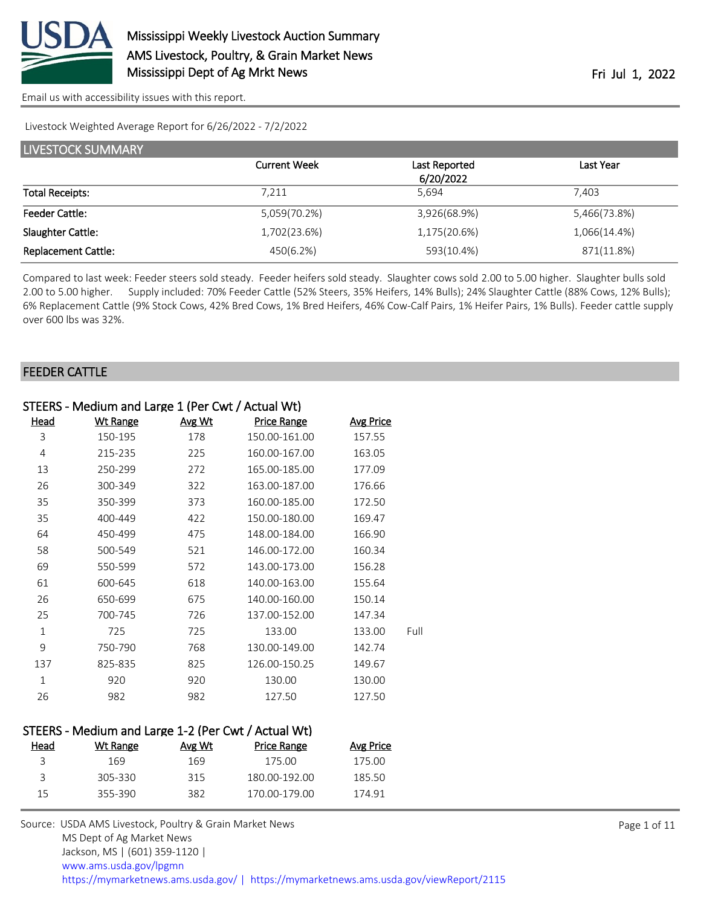

Livestock Weighted Average Report for 6/26/2022 - 7/2/2022

| LIVESTOCK SUMMARY          |                     |               |              |  |  |
|----------------------------|---------------------|---------------|--------------|--|--|
|                            | <b>Current Week</b> | Last Reported | Last Year    |  |  |
|                            |                     | 6/20/2022     |              |  |  |
| <b>Total Receipts:</b>     | 7,211               | 5.694         | 7.403        |  |  |
| <b>Feeder Cattle:</b>      | 5,059(70.2%)        | 3,926(68.9%)  | 5,466(73.8%) |  |  |
| Slaughter Cattle:          | 1,702(23.6%)        | 1,175(20.6%)  | 1,066(14.4%) |  |  |
| <b>Replacement Cattle:</b> | 450(6.2%)           | 593(10.4%)    | 871(11.8%)   |  |  |

Compared to last week: Feeder steers sold steady. Feeder heifers sold steady. Slaughter cows sold 2.00 to 5.00 higher. Slaughter bulls sold 2.00 to 5.00 higher. Supply included: 70% Feeder Cattle (52% Steers, 35% Heifers, 14% Bulls); 24% Slaughter Cattle (88% Cows, 12% Bulls); 6% Replacement Cattle (9% Stock Cows, 42% Bred Cows, 1% Bred Heifers, 46% Cow-Calf Pairs, 1% Heifer Pairs, 1% Bulls). Feeder cattle supply over 600 lbs was 32%.

#### FEEDER CATTLE

|              | STEERS - Medium and Large 1 (Per Cwt / Actual Wt) |        |                    |                  |      |  |
|--------------|---------------------------------------------------|--------|--------------------|------------------|------|--|
| <u>Head</u>  | <b>Wt Range</b>                                   | Avg Wt | <b>Price Range</b> | <b>Avg Price</b> |      |  |
| 3            | 150-195                                           | 178    | 150.00-161.00      | 157.55           |      |  |
| 4            | 215-235                                           | 225    | 160.00-167.00      | 163.05           |      |  |
| 13           | 250-299                                           | 272    | 165.00-185.00      | 177.09           |      |  |
| 26           | 300-349                                           | 322    | 163.00-187.00      | 176.66           |      |  |
| 35           | 350-399                                           | 373    | 160.00-185.00      | 172.50           |      |  |
| 35           | 400-449                                           | 422    | 150.00-180.00      | 169.47           |      |  |
| 64           | 450-499                                           | 475    | 148.00-184.00      | 166.90           |      |  |
| 58           | 500-549                                           | 521    | 146.00-172.00      | 160.34           |      |  |
| 69           | 550-599                                           | 572    | 143.00-173.00      | 156.28           |      |  |
| 61           | 600-645                                           | 618    | 140.00-163.00      | 155.64           |      |  |
| 26           | 650-699                                           | 675    | 140.00-160.00      | 150.14           |      |  |
| 25           | 700-745                                           | 726    | 137.00-152.00      | 147.34           |      |  |
| $\mathbf{1}$ | 725                                               | 725    | 133.00             | 133.00           | Full |  |
| 9            | 750-790                                           | 768    | 130.00-149.00      | 142.74           |      |  |
| 137          | 825-835                                           | 825    | 126.00-150.25      | 149.67           |      |  |
| $\mathbf 1$  | 920                                               | 920    | 130.00             | 130.00           |      |  |
| 26           | 982                                               | 982    | 127.50             | 127.50           |      |  |
|              |                                                   |        |                    |                  |      |  |

#### STEERS - Medium and Large 1-2 (Per Cwt / Actual Wt)

| Head | Wt Range | Avg Wt | Price Range   | Avg Price |
|------|----------|--------|---------------|-----------|
|      | 169      | 169    | 175 OO        | 175 OO    |
| ₹    | 305-330  | 315    | 180.00-192.00 | 185.50    |
| 15   | 355-390  | 382    | 170 00-179 00 | 174.91    |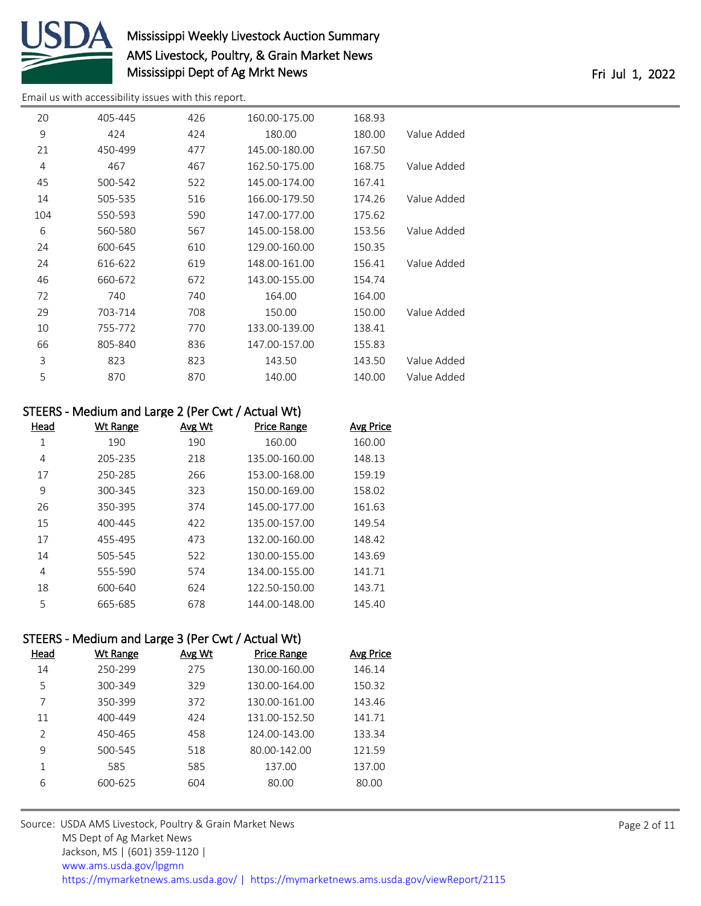

# Mississippi Weekly Livestock Auction Summary AMS Livestock, Poultry, & Grain Market News Mississippi Dept of Ag Mrkt News **Fri 10** and 2022 Fri Jul 1, 2022

[Email us with accessibility issues with this report.](mailto:mars@ams.usda.gov?subject=508%20issue)

| 20  | 405-445 | 426 | 160.00-175.00 | 168.93 |             |
|-----|---------|-----|---------------|--------|-------------|
| 9   | 424     | 424 | 180.00        | 180.00 | Value Added |
| 21  | 450-499 | 477 | 145.00-180.00 | 167.50 |             |
| 4   | 467     | 467 | 162.50-175.00 | 168.75 | Value Added |
| 45  | 500-542 | 522 | 145.00-174.00 | 167.41 |             |
| 14  | 505-535 | 516 | 166.00-179.50 | 174.26 | Value Added |
| 104 | 550-593 | 590 | 147.00-177.00 | 175.62 |             |
| 6   | 560-580 | 567 | 145.00-158.00 | 153.56 | Value Added |
| 24  | 600-645 | 610 | 129.00-160.00 | 150.35 |             |
| 24  | 616-622 | 619 | 148.00-161.00 | 156.41 | Value Added |
| 46  | 660-672 | 672 | 143.00-155.00 | 154.74 |             |
| 72  | 740     | 740 | 164.00        | 164.00 |             |
| 29  | 703-714 | 708 | 150.00        | 150.00 | Value Added |
| 10  | 755-772 | 770 | 133.00-139.00 | 138.41 |             |
| 66  | 805-840 | 836 | 147.00-157.00 | 155.83 |             |
| 3   | 823     | 823 | 143.50        | 143.50 | Value Added |
| 5   | 870     | 870 | 140.00        | 140.00 | Value Added |
|     |         |     |               |        |             |

#### STEERS - Medium and Large 2 (Per Cwt / Actual Wt)

| Head | Wt Range | Avg Wt | <b>Price Range</b> | <b>Avg Price</b> |
|------|----------|--------|--------------------|------------------|
| 1    | 190      | 190    | 160.00             | 160.00           |
| 4    | 205-235  | 218    | 135.00-160.00      | 148.13           |
| 17   | 250-285  | 266    | 153.00-168.00      | 159.19           |
| 9    | 300-345  | 323    | 150.00-169.00      | 158.02           |
| 26   | 350-395  | 374    | 145.00-177.00      | 161.63           |
| 15   | 400-445  | 422    | 135.00-157.00      | 149.54           |
| 17   | 455-495  | 473    | 132.00-160.00      | 148.42           |
| 14   | 505-545  | 522    | 130.00-155.00      | 143.69           |
| 4    | 555-590  | 574    | 134.00-155.00      | 141.71           |
| 18   | 600-640  | 624    | 122.50-150.00      | 143.71           |
| 5    | 665-685  | 678    | 144.00-148.00      | 145.40           |

#### STEERS - Medium and Large 3 (Per Cwt / Actual Wt)

| Head          | Wt Range | Avg Wt | <b>Price Range</b> | Avg Price |
|---------------|----------|--------|--------------------|-----------|
| 14            | 250-299  | 275    | 130.00-160.00      | 146.14    |
| 5             | 300-349  | 329    | 130.00-164.00      | 150.32    |
| 7             | 350-399  | 372    | 130.00-161.00      | 143.46    |
| 11            | 400-449  | 424    | 131.00-152.50      | 141.71    |
| $\mathcal{P}$ | 450-465  | 458    | 124.00-143.00      | 133.34    |
| q             | 500-545  | 518    | 80.00-142.00       | 121.59    |
| 1             | 585      | 585    | 137.00             | 137.00    |
| 6             | 600-625  | 604    | 80.00              | 80.00     |
|               |          |        |                    |           |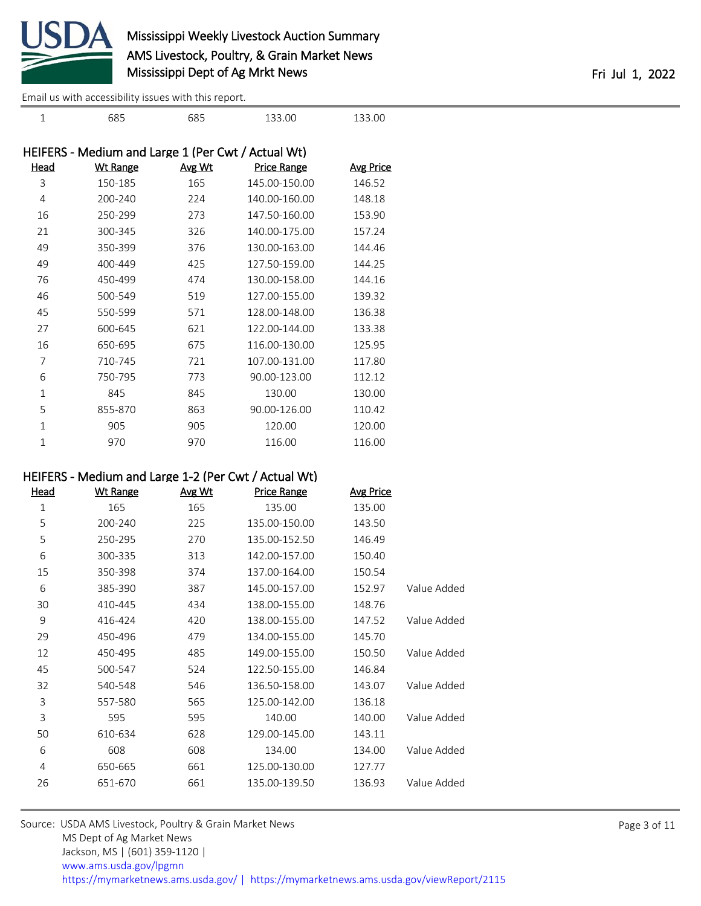

|      | HEIFERS - Medium and Large 1 (Per Cwt / Actual Wt) |        |               |                  |  |  |
|------|----------------------------------------------------|--------|---------------|------------------|--|--|
| Head | Wt Range                                           | Avg Wt | Price Range   | <u>Avg Price</u> |  |  |
| 3    | 150-185                                            | 165    | 145.00-150.00 | 146.52           |  |  |
| 4    | 200-240                                            | 224    | 140.00-160.00 | 148.18           |  |  |
| 16   | 250-299                                            | 273    | 147.50-160.00 | 153.90           |  |  |
| 21   | 300-345                                            | 326    | 140.00-175.00 | 157.24           |  |  |
| 49   | 350-399                                            | 376    | 130.00-163.00 | 144.46           |  |  |
| 49   | 400-449                                            | 425    | 127.50-159.00 | 144.25           |  |  |
| 76   | 450-499                                            | 474    | 130.00-158.00 | 144.16           |  |  |
| 46   | 500-549                                            | 519    | 127.00-155.00 | 139.32           |  |  |
| 45   | 550-599                                            | 571    | 128.00-148.00 | 136.38           |  |  |
| 27   | 600-645                                            | 621    | 122.00-144.00 | 133.38           |  |  |
| 16   | 650-695                                            | 675    | 116.00-130.00 | 125.95           |  |  |
| 7    | 710-745                                            | 721    | 107.00-131.00 | 117.80           |  |  |
| 6    | 750-795                                            | 773    | 90.00-123.00  | 112.12           |  |  |
| 1    | 845                                                | 845    | 130.00        | 130.00           |  |  |
| 5    | 855-870                                            | 863    | 90.00-126.00  | 110.42           |  |  |
| 1    | 905                                                | 905    | 120.00        | 120.00           |  |  |
| 1    | 970                                                | 970    | 116.00        | 116.00           |  |  |
|      |                                                    |        |               |                  |  |  |

685 685 133.00 133.00

## HEIFERS - Medium and Large 1-2 (Per Cwt / Actual Wt)

| Head | <b>Wt Range</b> | Avg Wt | <b>Price Range</b> | <b>Avg Price</b> |             |
|------|-----------------|--------|--------------------|------------------|-------------|
| 1    | 165             | 165    | 135.00             | 135.00           |             |
| 5    | 200-240         | 225    | 135.00-150.00      | 143.50           |             |
| 5    | 250-295         | 270    | 135.00-152.50      | 146.49           |             |
| 6    | 300-335         | 313    | 142.00-157.00      | 150.40           |             |
| 15   | 350-398         | 374    | 137.00-164.00      | 150.54           |             |
| 6    | 385-390         | 387    | 145.00-157.00      | 152.97           | Value Added |
| 30   | 410-445         | 434    | 138.00-155.00      | 148.76           |             |
| 9    | 416-424         | 420    | 138.00-155.00      | 147.52           | Value Added |
| 29   | 450-496         | 479    | 134.00-155.00      | 145.70           |             |
| 12   | 450-495         | 485    | 149.00-155.00      | 150.50           | Value Added |
| 45   | 500-547         | 524    | 122.50-155.00      | 146.84           |             |
| 32   | 540-548         | 546    | 136.50-158.00      | 143.07           | Value Added |
| 3    | 557-580         | 565    | 125.00-142.00      | 136.18           |             |
| 3    | 595             | 595    | 140.00             | 140.00           | Value Added |
| 50   | 610-634         | 628    | 129.00-145.00      | 143.11           |             |
| 6    | 608             | 608    | 134.00             | 134.00           | Value Added |
| 4    | 650-665         | 661    | 125.00-130.00      | 127.77           |             |
| 26   | 651-670         | 661    | 135.00-139.50      | 136.93           | Value Added |

Source: USDA AMS Livestock, Poultry & Grain Market News MS Dept of Ag Market News Jackson, MS | (601) 359-1120 | [www.ams.usda.gov/lpgmn](https://www.ams.usda.gov/market-news) <https://mymarketnews.ams.usda.gov/> [|](https://www.ams.usda.gov/market-news) <https://mymarketnews.ams.usda.gov/viewReport/2115>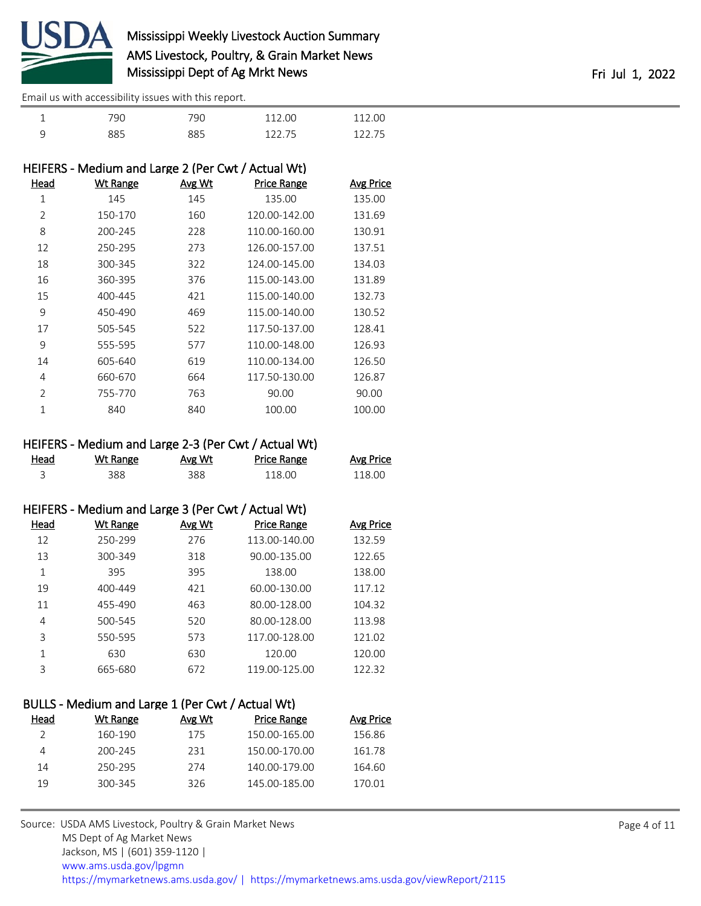

|   | 790 | 790 | 112.00 | 112.00 |
|---|-----|-----|--------|--------|
| q | 885 | 885 | 122.75 | 12275  |

| HEIFERS - Medium and Large 2 (Per Cwt / Actual Wt) |                 |               |                    |                  |
|----------------------------------------------------|-----------------|---------------|--------------------|------------------|
| Head                                               | <b>Wt Range</b> | <u>Avg Wt</u> | <b>Price Range</b> | <b>Avg Price</b> |
| 1                                                  | 145             | 145           | 135.00             | 135.00           |
| $\overline{2}$                                     | 150-170         | 160           | 120.00-142.00      | 131.69           |
| 8                                                  | 200-245         | 228           | 110.00-160.00      | 130.91           |
| 12                                                 | 250-295         | 273           | 126.00-157.00      | 137.51           |
| 18                                                 | 300-345         | 322           | 124.00-145.00      | 134.03           |
| 16                                                 | 360-395         | 376           | 115.00-143.00      | 131.89           |
| 15                                                 | 400-445         | 421           | 115.00-140.00      | 132.73           |
| 9                                                  | 450-490         | 469           | 115.00-140.00      | 130.52           |
| 17                                                 | 505-545         | 522           | 117.50-137.00      | 128.41           |
| 9                                                  | 555-595         | 577           | 110.00-148.00      | 126.93           |
| 14                                                 | 605-640         | 619           | 110.00-134.00      | 126.50           |
| 4                                                  | 660-670         | 664           | 117.50-130.00      | 126.87           |
| 2                                                  | 755-770         | 763           | 90.00              | 90.00            |
| 1                                                  | 840             | 840           | 100.00             | 100.00           |

## HEIFERS - Medium and Large 2-3 (Per Cwt / Actual Wt)

| Head<br><u>_______</u> | Wt Range | Avg Wt | Price Range | <b>Avg Price</b> |
|------------------------|----------|--------|-------------|------------------|
|                        | 388      | 388    | 118.00      | 118.00           |

|      | HEIFERS - Medium and Large 3 (Per Cwt / Actual Wt) |        |                    |           |
|------|----------------------------------------------------|--------|--------------------|-----------|
| Head | Wt Range                                           | Avg Wt | <b>Price Range</b> | Avg Price |
| 12   | 250-299                                            | 276    | 113.00-140.00      | 132.59    |
| 13   | 300-349                                            | 318    | 90.00-135.00       | 122.65    |
| 1    | 395                                                | 395    | 138.00             | 138.00    |
| 19   | 400-449                                            | 421    | 60.00-130.00       | 117.12    |
| 11   | 455-490                                            | 463    | 80.00-128.00       | 104.32    |
| 4    | 500-545                                            | 520    | 80.00-128.00       | 113.98    |
| 3    | 550-595                                            | 573    | 117.00-128.00      | 121.02    |
| 1    | 630                                                | 630    | 120.00             | 120.00    |
| 3    | 665-680                                            | 672    | 119.00-125.00      | 122.32    |

| BULLS - Medium and Large 1 (Per Cwt / Actual Wt) |          |        |                    |                  |  |  |
|--------------------------------------------------|----------|--------|--------------------|------------------|--|--|
| Head                                             | Wt Range | Avg Wt | <b>Price Range</b> | <b>Avg Price</b> |  |  |
|                                                  | 160-190  | 175    | 150.00-165.00      | 156.86           |  |  |
| 4                                                | 200-245  | 231    | 150.00-170.00      | 161.78           |  |  |
| 14                                               | 250-295  | 274    | 140.00-179.00      | 164.60           |  |  |
| 19                                               | 300-345  | 326    | 145.00-185.00      | 170.01           |  |  |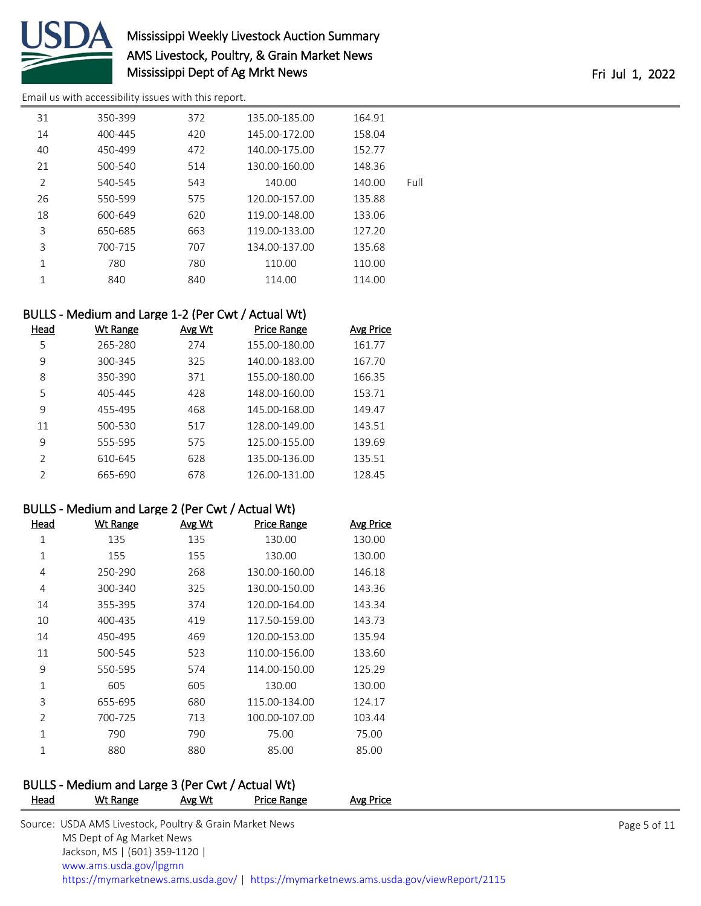

# Mississippi Weekly Livestock Auction Summary AMS Livestock, Poultry, & Grain Market News Mississippi Dept of Ag Mrkt News **Fri Jul 1, 2022**

[Email us with accessibility issues with this report.](mailto:mars@ams.usda.gov?subject=508%20issue)

| 31             | 350-399 | 372 | 135.00-185.00 | 164.91 |      |
|----------------|---------|-----|---------------|--------|------|
| 14             | 400-445 | 420 | 145.00-172.00 | 158.04 |      |
| 40             | 450-499 | 472 | 140.00-175.00 | 152.77 |      |
| 21             | 500-540 | 514 | 130.00-160.00 | 148.36 |      |
| $\overline{2}$ | 540-545 | 543 | 140.00        | 140.00 | Full |
| 26             | 550-599 | 575 | 120.00-157.00 | 135.88 |      |
| 18             | 600-649 | 620 | 119.00-148.00 | 133.06 |      |
| 3              | 650-685 | 663 | 119.00-133.00 | 127.20 |      |
| 3              | 700-715 | 707 | 134.00-137.00 | 135.68 |      |
| 1              | 780     | 780 | 110.00        | 110.00 |      |
| 1              | 840     | 840 | 114.00        | 114.00 |      |
|                |         |     |               |        |      |

## BULLS - Medium and Large 1-2 (Per Cwt / Actual Wt)

| Head          | Wt Range | Avg Wt | Price Range   | Avg Price |
|---------------|----------|--------|---------------|-----------|
| 5             | 265-280  | 274    | 155.00-180.00 | 161.77    |
| 9             | 300-345  | 325    | 140.00-183.00 | 167.70    |
| 8             | 350-390  | 371    | 155.00-180.00 | 166.35    |
| 5             | 405-445  | 428    | 148.00-160.00 | 153.71    |
| 9             | 455-495  | 468    | 145,00-168,00 | 149.47    |
| 11            | 500-530  | 517    | 128.00-149.00 | 143.51    |
| 9             | 555-595  | 575    | 125.00-155.00 | 139.69    |
| $\mathcal{P}$ | 610-645  | 628    | 135.00-136.00 | 135.51    |
| $\mathcal{P}$ | 665-690  | 678    | 126.00-131.00 | 128.45    |

#### BULLS - Medium and Large 2 (Per Cwt / Actual Wt)

| Head           | <b>Wt Range</b> | Avg Wt | <b>Price Range</b> | <b>Avg Price</b> |
|----------------|-----------------|--------|--------------------|------------------|
| 1              | 135             | 135    | 130.00             | 130.00           |
| 1              | 155             | 155    | 130.00             | 130.00           |
| 4              | 250-290         | 268    | 130.00-160.00      | 146.18           |
| 4              | 300-340         | 325    | 130.00-150.00      | 143.36           |
| 14             | 355-395         | 374    | 120.00-164.00      | 143.34           |
| 10             | 400-435         | 419    | 117.50-159.00      | 143.73           |
| 14             | 450-495         | 469    | 120.00-153.00      | 135.94           |
| 11             | 500-545         | 523    | 110.00-156.00      | 133.60           |
| 9              | 550-595         | 574    | 114.00-150.00      | 125.29           |
| 1              | 605             | 605    | 130.00             | 130.00           |
| 3              | 655-695         | 680    | 115.00-134.00      | 124.17           |
| $\overline{2}$ | 700-725         | 713    | 100.00-107.00      | 103.44           |
| 1              | 790             | 790    | 75.00              | 75.00            |
| 1              | 880             | 880    | 85.00              | 85.00            |

# BULLS - Medium and Large 3 (Per Cwt / Actual Wt)<br>Head Wt Bange Avg Wt Price Bange

| <b>Head</b> | Wt Range                                                | Avg Wt | Price Range | Avg Price                                                                              |              |
|-------------|---------------------------------------------------------|--------|-------------|----------------------------------------------------------------------------------------|--------------|
|             | Source: USDA AMS Livestock, Poultry & Grain Market News |        |             |                                                                                        | Page 5 of 11 |
|             | MS Dept of Ag Market News                               |        |             |                                                                                        |              |
|             | Jackson, MS   (601) 359-1120                            |        |             |                                                                                        |              |
|             | www.ams.usda.gov/lpgmn                                  |        |             |                                                                                        |              |
|             |                                                         |        |             | https://mymarketnews.ams.usda.gov/   https://mymarketnews.ams.usda.gov/viewReport/2115 |              |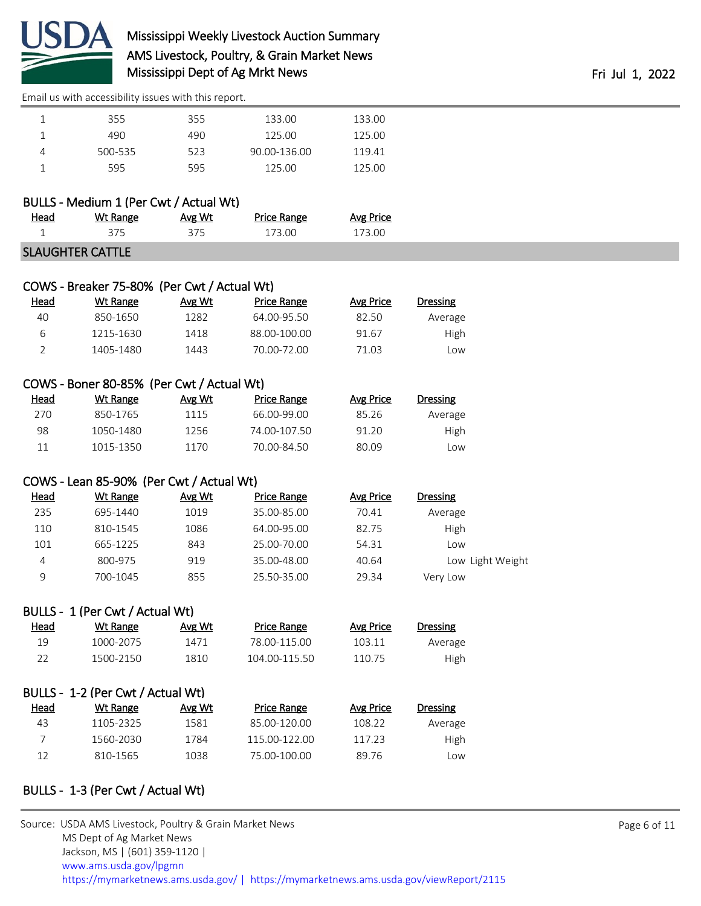

# Mississippi Weekly Livestock Auction Summary AMS Livestock, Poultry, & Grain Market News Mississippi Dept of Ag Mrkt News **Fri Jul 1, 2022**

[Email us with accessibility issues with this report.](mailto:mars@ams.usda.gov?subject=508%20issue)

| 355     | 355 | 133.00       | 133.00 |
|---------|-----|--------------|--------|
| 490     | 490 | 125.00       | 125.00 |
| 500-535 | 523 | 90.00-136.00 | 119.41 |
| 595     | 595 | 125.00       | 125.00 |

|  | BULLS - Medium 1 (Per Cwt / Actual Wt) |  |  |  |
|--|----------------------------------------|--|--|--|
|  |                                        |  |  |  |

| <u>Head</u>                      | Wt Range | Avg Wt | Price Range | Avg Price |  |  |
|----------------------------------|----------|--------|-------------|-----------|--|--|
|                                  |          |        | 173.00 -    | 173 NO    |  |  |
| $C1$ and $C1$ item $C2$ and $C3$ |          |        |             |           |  |  |

|  | <b>SLAUGHTER CATTLE</b> |
|--|-------------------------|
|  |                         |

| COWS - Breaker 75-80% (Per Cwt / Actual Wt) |           |        |                    |           |          |  |  |
|---------------------------------------------|-----------|--------|--------------------|-----------|----------|--|--|
| Head                                        | Wt Range  | Avg Wt | <b>Price Range</b> | Avg Price | Dressing |  |  |
| 40                                          | 850-1650  | 1282   | 64.00-95.50        | 82.50     | Average  |  |  |
| 6                                           | 1215-1630 | 1418   | 88.00-100.00       | 91.67     | High     |  |  |
|                                             | 1405-1480 | 1443   | 70.00-72.00        | 71.03     | Low      |  |  |

#### COWS - Boner 80-85% (Per Cwt / Actual Wt)

| Head | Wt Range  | Avg Wt | Price Range  | Avg Price | Dressing |
|------|-----------|--------|--------------|-----------|----------|
| 270  | 850-1765  | 1115   | 66.00-99.00  | 85.26     | Average  |
| 98   | 1050-1480 | 1256.  | 74.00-107.50 | 91.20     | High     |
| 11   | 1015-1350 | 1170   | 70.00-84.50  | 80.09     | LOW      |

# COWS - Lean 85-90% (Per Cwt / Actual Wt)

| <u>Head</u> | Wt Range | Avg Wt | Price Range | Avg Price | <b>Dressing</b>  |
|-------------|----------|--------|-------------|-----------|------------------|
| 235         | 695-1440 | 1019   | 35.00-85.00 | 70.41     | Average          |
| 110         | 810-1545 | 1086   | 64.00-95.00 | 82.75     | High             |
| 101         | 665-1225 | 843    | 25.00-70.00 | 54.31     | LOW              |
| 4           | 800-975  | 919    | 35.00-48.00 | 40.64     | Low Light Weight |
| 9           | 700-1045 | 855    | 25.50-35.00 | 29.34     | Very Low         |

#### BULLS - 1 (Per Cwt / Actual Wt)

| <u>Head</u> | Wt Range  | Avg Wt | Price Range   | Avg Price | Dressing |
|-------------|-----------|--------|---------------|-----------|----------|
| 19          | 1000-2075 | 1471   | 78.00-115.00  | 103.11    | Average  |
| フフ          | 1500-2150 | 1810   | 104.00-115.50 | 110.75    | High     |

| BULLS - 1-2 (Per Cwt / Actual Wt) |           |        |                    |           |          |  |  |  |  |  |
|-----------------------------------|-----------|--------|--------------------|-----------|----------|--|--|--|--|--|
| Head                              | Wt Range  | Avg Wt | <b>Price Range</b> | Avg Price | Dressing |  |  |  |  |  |
| 43                                | 1105-2325 | 1581   | 85.00-120.00       | 108.22    | Average  |  |  |  |  |  |
|                                   | 1560-2030 | 1784   | 115.00-122.00      | 117.23    | High     |  |  |  |  |  |
| 12                                | 810-1565  | 1038   | 75.00-100.00       | 89.76     | LOW      |  |  |  |  |  |

# BULLS - 1-3 (Per Cwt / Actual Wt)

| Source: USDA AMS Livestock, Poultry & Grain Market News                                |
|----------------------------------------------------------------------------------------|
| MS Dept of Ag Market News                                                              |
| Jackson, MS   (601) 359-1120                                                           |
| www.ams.usda.gov/lpgmn                                                                 |
| https://mymarketnews.ams.usda.gov/   https://mymarketnews.ams.usda.gov/viewReport/2115 |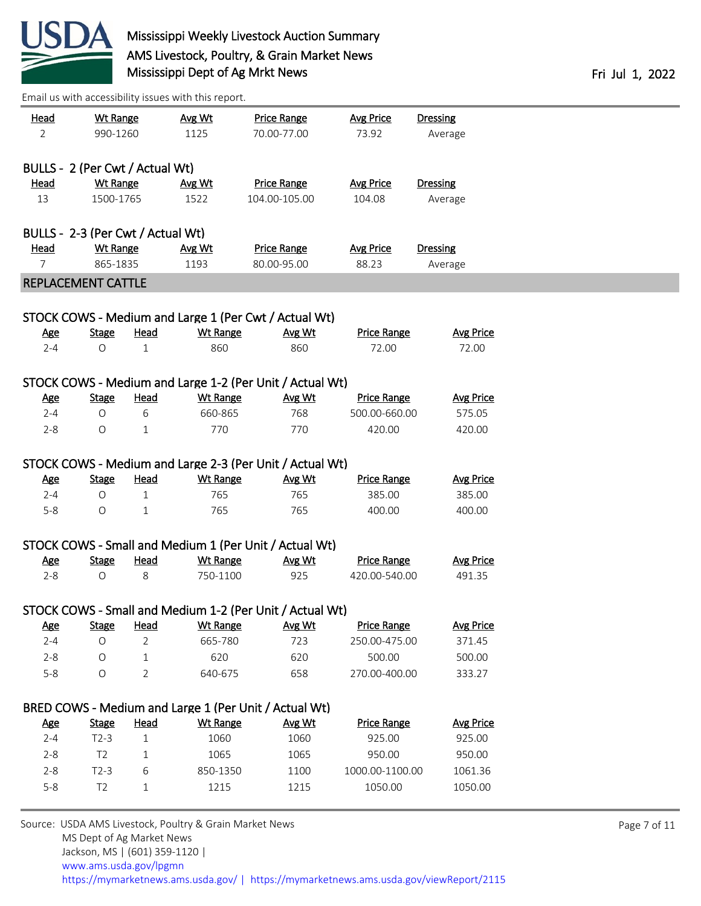

| <u>Head</u><br>2 | <b>Wt Range</b><br>990-1260       |                | Avg Wt<br>1125                                          | <b>Price Range</b><br>70.00-77.00                        | <b>Avg Price</b><br>73.92 | <b>Dressing</b><br>Average |              |
|------------------|-----------------------------------|----------------|---------------------------------------------------------|----------------------------------------------------------|---------------------------|----------------------------|--------------|
|                  |                                   |                |                                                         |                                                          |                           |                            |              |
|                  | BULLS - 2 (Per Cwt / Actual Wt)   |                |                                                         |                                                          |                           |                            |              |
| <b>Head</b>      | <b>Wt Range</b>                   |                | Avg Wt                                                  | <b>Price Range</b>                                       | <b>Avg Price</b>          | <b>Dressing</b>            |              |
| 13               | 1500-1765                         |                | 1522                                                    | 104.00-105.00                                            | 104.08                    | Average                    |              |
|                  |                                   |                |                                                         |                                                          |                           |                            |              |
|                  | BULLS - 2-3 (Per Cwt / Actual Wt) |                |                                                         |                                                          |                           |                            |              |
| <u>Head</u>      | Wt Range                          |                | Avg Wt                                                  | <b>Price Range</b>                                       | <b>Avg Price</b>          | <b>Dressing</b>            |              |
| $\overline{7}$   | 865-1835                          |                | 1193                                                    | 80.00-95.00                                              | 88.23                     | Average                    |              |
|                  | REPLACEMENT CATTLE                |                |                                                         |                                                          |                           |                            |              |
|                  |                                   |                |                                                         |                                                          |                           |                            |              |
|                  |                                   |                |                                                         | STOCK COWS - Medium and Large 1 (Per Cwt / Actual Wt)    |                           |                            |              |
| <u>Age</u>       | <b>Stage</b>                      | <b>Head</b>    | <b>Wt Range</b>                                         | Avg Wt                                                   | <b>Price Range</b>        | <b>Avg Price</b>           |              |
| $2 - 4$          | $\bigcirc$                        | $\mathbf{1}$   | 860                                                     | 860                                                      | 72.00                     | 72.00                      |              |
|                  |                                   |                |                                                         |                                                          |                           |                            |              |
|                  |                                   |                |                                                         | STOCK COWS - Medium and Large 1-2 (Per Unit / Actual Wt) |                           |                            |              |
| <b>Age</b>       | <b>Stage</b>                      | Head           | <b>Wt Range</b>                                         | Avg Wt                                                   | <b>Price Range</b>        | <b>Avg Price</b>           |              |
| $2 - 4$          | 0                                 | 6              | 660-865                                                 | 768                                                      | 500.00-660.00             | 575.05                     |              |
| $2 - 8$          | $\circ$                           | 1              | 770                                                     | 770                                                      | 420.00                    | 420.00                     |              |
|                  |                                   |                |                                                         | STOCK COWS - Medium and Large 2-3 (Per Unit / Actual Wt) |                           |                            |              |
| <b>Age</b>       | <b>Stage</b>                      | <b>Head</b>    | <b>Wt Range</b>                                         | Avg Wt                                                   | <b>Price Range</b>        | <b>Avg Price</b>           |              |
| $2 - 4$          | $\circ$                           | $\mathbf{1}$   | 765                                                     | 765                                                      | 385.00                    | 385.00                     |              |
| $5-8$            | 0                                 | $\mathbf{1}$   | 765                                                     | 765                                                      | 400.00                    | 400.00                     |              |
|                  |                                   |                |                                                         |                                                          |                           |                            |              |
|                  |                                   |                |                                                         | STOCK COWS - Small and Medium 1 (Per Unit / Actual Wt)   |                           |                            |              |
| <b>Age</b>       | <b>Stage</b>                      | <b>Head</b>    | <b>Wt Range</b>                                         | Avg Wt                                                   | <b>Price Range</b>        | <b>Avg Price</b>           |              |
| $2 - 8$          | $\bigcirc$                        | 8              | 750-1100                                                | 925                                                      | 420.00-540.00             | 491.35                     |              |
|                  |                                   |                |                                                         |                                                          |                           |                            |              |
|                  |                                   |                |                                                         | STOCK COWS - Small and Medium 1-2 (Per Unit / Actual Wt) |                           |                            |              |
| <u>Age</u>       | <b>Stage</b>                      | Head           | <b>Wt Range</b>                                         | Avg Wt                                                   | <b>Price Range</b>        | <b>Avg Price</b>           |              |
| $2 - 4$          | O                                 | $\overline{2}$ | 665-780                                                 | 723                                                      | 250.00-475.00             | 371.45                     |              |
| $2 - 8$          | O                                 | $\mathbf 1$    | 620                                                     | 620                                                      | 500.00                    | 500.00                     |              |
| $5 - 8$          | $\bigcirc$                        | $\overline{2}$ | 640-675                                                 | 658                                                      | 270.00-400.00             | 333.27                     |              |
|                  |                                   |                |                                                         |                                                          |                           |                            |              |
|                  |                                   |                |                                                         | BRED COWS - Medium and Large 1 (Per Unit / Actual Wt)    |                           |                            |              |
| <b>Age</b>       | <b>Stage</b>                      | <b>Head</b>    | <b>Wt Range</b>                                         | Avg Wt                                                   | <b>Price Range</b>        | <b>Avg Price</b>           |              |
| $2 - 4$          | $T2-3$                            | $\mathbf{1}$   | 1060                                                    | 1060                                                     | 925.00                    | 925.00                     |              |
| $2 - 8$          | T <sub>2</sub>                    | 1              | 1065                                                    | 1065                                                     | 950.00                    | 950.00                     |              |
| $2 - 8$          | $T2-3$                            | 6              | 850-1350                                                | 1100                                                     | 1000.00-1100.00           | 1061.36                    |              |
| $5 - 8$          | T <sub>2</sub>                    | $1\,$          | 1215                                                    | 1215                                                     | 1050.00                   | 1050.00                    |              |
|                  |                                   |                |                                                         |                                                          |                           |                            |              |
|                  |                                   |                | Source: USDA AMS Livestock, Poultry & Grain Market News |                                                          |                           |                            | Page 7 of 11 |
|                  | MS Dept of Ag Market News         |                |                                                         |                                                          |                           |                            |              |

 Jackson, MS | (601) 359-1120 | [www.ams.usda.gov/lpgmn](https://www.ams.usda.gov/market-news) <https://mymarketnews.ams.usda.gov/> [|](https://www.ams.usda.gov/market-news) <https://mymarketnews.ams.usda.gov/viewReport/2115>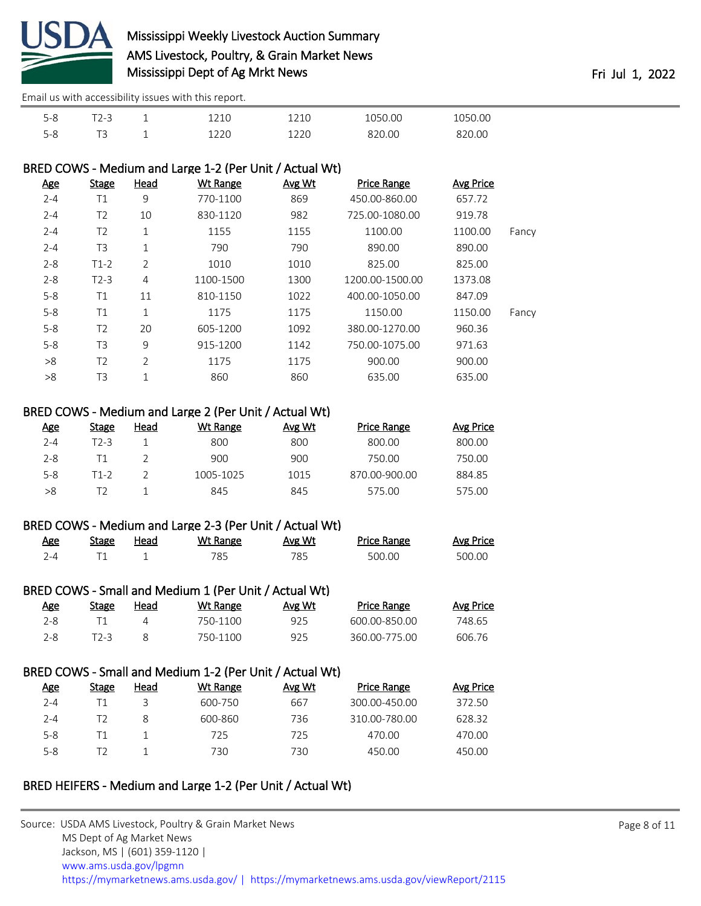

| $-$<br>5-8 | $7 - 5$<br>$ -$ | -<br>— | ---- | OC         | - 00<br>156 <sub>1</sub> |
|------------|-----------------|--------|------|------------|--------------------------|
| ΞС<br>י∼ ה | -               | -      | ---- | חרי<br>.OC | Ωſ<br>חר                 |

#### BRED COWS - Medium and Large 1-2 (Per Unit / Actual Wt)

| <b>Stage</b>   | <u>Head</u>    | <b>Wt Range</b> | <b>Avg Wt</b> | <b>Price Range</b> | <b>Avg Price</b> |       |
|----------------|----------------|-----------------|---------------|--------------------|------------------|-------|
| T1             | 9              | 770-1100        | 869           | 450.00-860.00      | 657.72           |       |
| T <sub>2</sub> | 10             | 830-1120        | 982           | 725.00-1080.00     | 919.78           |       |
| T <sub>2</sub> | 1              | 1155            | 1155          | 1100.00            | 1100.00          | Fancy |
| T <sub>3</sub> | 1              | 790             | 790           | 890.00             | 890.00           |       |
| $T1-2$         | 2              | 1010            | 1010          | 825.00             | 825.00           |       |
| $T2-3$         | 4              | 1100-1500       | 1300          | 1200.00-1500.00    | 1373.08          |       |
| T1             | 11             | 810-1150        | 1022          | 400.00-1050.00     | 847.09           |       |
| T1             | 1              | 1175            | 1175          | 1150.00            | 1150.00          | Fancy |
| T <sub>2</sub> | 20             | 605-1200        | 1092          | 380.00-1270.00     | 960.36           |       |
| T <sub>3</sub> | 9              | 915-1200        | 1142          | 750.00-1075.00     | 971.63           |       |
| T <sub>2</sub> | $\overline{2}$ | 1175            | 1175          | 900.00             | 900.00           |       |
| T3             | $\mathbf{1}$   | 860             | 860           | 635.00             | 635.00           |       |
|                |                |                 |               |                    |                  |       |

#### BRED COWS - Medium and Large 2 (Per Unit / Actual Wt)

| <u>Age</u> | <b>Stage</b> | Head | Wt Range  | Avg Wt | <b>Price Range</b> | Avg Price |
|------------|--------------|------|-----------|--------|--------------------|-----------|
| $2 - 4$    | T2-3         |      | 800       | 800    | 800.00             | 800.00    |
| $2 - 8$    | Τ1           |      | 900       | 900    | 750.00             | 750.00    |
| $5 - 8$    | T1-2         |      | 1005-1025 | 1015   | 870.00-900.00      | 884.85    |
| >8         |              |      | 845       | 845    | 575.00             | 575.00    |

#### BRED COWS - Medium and Large 2-3 (Per Unit / Actual Wt)

| <u>Age</u> | Stage | <u>Head</u> | Wt Range | Avg Wt | Price Range | Avg Price |
|------------|-------|-------------|----------|--------|-------------|-----------|
| 2-4        |       |             | 785      | 785.   | 500.00      | 500.00    |

#### BRED COWS - Small and Medium 1 (Per Unit / Actual Wt)

| <u>Age</u> | <b>Stage</b> | Head | Wt Range | Avg Wt | <b>Price Range</b> | Avg Price |
|------------|--------------|------|----------|--------|--------------------|-----------|
| $2 - 8$    |              |      | 750-1100 | 925    | .600.00-850.00     | 748.65    |
| $2 - 8$    |              |      | 750-1100 | 925    | 360.00-775.00      | 606.76    |

#### BRED COWS - Small and Medium 1-2 (Per Unit / Actual Wt)

| Age     | <b>Stage</b> | Head | Wt Range | Avg Wt | <b>Price Range</b> | Avg Price |
|---------|--------------|------|----------|--------|--------------------|-----------|
| $2 - 4$ |              |      | 600-750  | 667    | 300.00-450.00      | 372.50    |
| $2 - 4$ |              |      | 600-860  | 736    | 310.00-780.00      | 628.32    |
| $5 - 8$ |              |      | 725      | 725    | 470.00             | 470.00    |
| $5 - 8$ |              |      | 730      | 730    | 450.00             | 450.00    |

#### BRED HEIFERS - Medium and Large 1-2 (Per Unit / Actual Wt)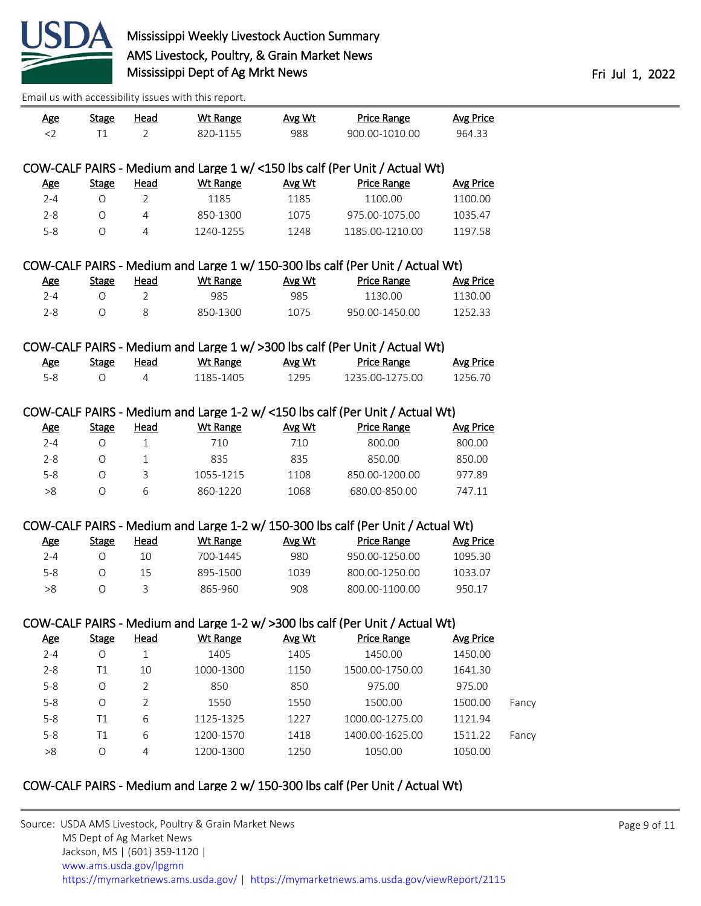

| <u>Age</u>            | <b>Stage</b> | <b>Head</b>    | <b>Wt Range</b> | Avg Wt | <b>Price Range</b>                                                                                  | <b>Avg Price</b> |       |
|-----------------------|--------------|----------------|-----------------|--------|-----------------------------------------------------------------------------------------------------|------------------|-------|
| $<$ 2                 | T1           | 2              | 820-1155        | 988    | 900.00-1010.00                                                                                      | 964.33           |       |
|                       |              |                |                 |        |                                                                                                     |                  |       |
|                       |              |                |                 |        | COW-CALF PAIRS - Medium and Large 1 w/ <150 lbs calf (Per Unit / Actual Wt)                         |                  |       |
| <u>Age</u>            | <b>Stage</b> | <b>Head</b>    | <b>Wt Range</b> | Avg Wt | <b>Price Range</b>                                                                                  | <b>Avg Price</b> |       |
| $2 - 4$               | $\circ$      | $\overline{2}$ | 1185            | 1185   | 1100.00                                                                                             | 1100.00          |       |
| $2 - 8$               | $\bigcirc$   | $\overline{4}$ | 850-1300        | 1075   | 975.00-1075.00                                                                                      | 1035.47          |       |
| $5 - 8$               | $\circ$      | $\overline{4}$ | 1240-1255       | 1248   | 1185.00-1210.00                                                                                     | 1197.58          |       |
|                       |              |                |                 |        |                                                                                                     |                  |       |
|                       |              |                |                 |        | COW-CALF PAIRS - Medium and Large 1 w/ 150-300 lbs calf (Per Unit / Actual Wt)                      |                  |       |
| <u>Age</u>            | <b>Stage</b> | <b>Head</b>    | <b>Wt Range</b> | Avg Wt | <b>Price Range</b>                                                                                  | <b>Avg Price</b> |       |
| $2 - 4$               | $\circ$      | $\overline{2}$ | 985             | 985    | 1130.00                                                                                             | 1130.00          |       |
| $2 - 8$               | $\circ$      | 8              | 850-1300        | 1075   | 950.00-1450.00                                                                                      | 1252.33          |       |
|                       |              |                |                 |        |                                                                                                     |                  |       |
|                       |              |                |                 |        | COW-CALF PAIRS - Medium and Large 1 w/ >300 lbs calf (Per Unit / Actual Wt)                         |                  |       |
| <u>Age</u>            | <b>Stage</b> | Head           | <b>Wt Range</b> | Avg Wt | <b>Price Range</b>                                                                                  | <b>Avg Price</b> |       |
| $5 - 8$               | $\bigcirc$   | $\overline{4}$ | 1185-1405       | 1295   | 1235.00-1275.00                                                                                     | 1256.70          |       |
|                       |              |                |                 |        |                                                                                                     |                  |       |
|                       |              |                |                 |        | COW-CALF PAIRS - Medium and Large 1-2 w/ <150 lbs calf (Per Unit / Actual Wt)                       |                  |       |
| <u>Age</u>            | <b>Stage</b> | <b>Head</b>    | <b>Wt Range</b> | Avg Wt | <b>Price Range</b>                                                                                  | <b>Avg Price</b> |       |
| $2 - 4$               | $\bigcirc$   | $\mathbf{1}$   | 710             | 710    | 800.00                                                                                              | 800.00           |       |
| $2 - 8$               | $\circ$      | $\mathbf{1}$   | 835             | 835    | 850.00                                                                                              | 850.00           |       |
| $5 - 8$               | $\bigcirc$   | 3              | 1055-1215       | 1108   | 850.00-1200.00                                                                                      | 977.89           |       |
| >8                    | $\bigcirc$   | 6              | 860-1220        | 1068   | 680.00-850.00                                                                                       | 747.11           |       |
|                       |              |                |                 |        |                                                                                                     |                  |       |
|                       |              |                |                 |        | COW-CALF PAIRS - Medium and Large 1-2 w/ 150-300 lbs calf (Per Unit / Actual Wt)                    |                  |       |
| <b>Age</b>            | <b>Stage</b> | <b>Head</b>    | <b>Wt Range</b> | Avg Wt | <b>Price Range</b>                                                                                  | <b>Avg Price</b> |       |
| $2 - 4$               | $\bigcirc$   | 10             | 700-1445        | 980    | 950.00-1250.00                                                                                      | 1095.30          |       |
| $5 - 8$               | O            | 15             | 895-1500        | 1039   | 800.00-1250.00                                                                                      | 1033.07          |       |
| >8                    | $\bigcirc$   | 3              | 865-960         | 908    | 800.00-1100.00                                                                                      | 950.17           |       |
|                       |              |                |                 |        |                                                                                                     |                  |       |
|                       |              |                |                 |        |                                                                                                     |                  |       |
|                       | <b>Stage</b> | <b>Head</b>    | <b>Wt Range</b> | Avg Wt | COW-CALF PAIRS - Medium and Large 1-2 w/ >300 lbs calf (Per Unit / Actual Wt)<br><b>Price Range</b> | <b>Avg Price</b> |       |
| <u>Age</u><br>$2 - 4$ | $\bigcirc$   | $\mathbf{1}$   | 1405            | 1405   | 1450.00                                                                                             | 1450.00          |       |
|                       |              |                |                 | 1150   |                                                                                                     |                  |       |
| $2 - 8$               | T1           | 10             | 1000-1300       |        | 1500.00-1750.00                                                                                     | 1641.30          |       |
| $5 - 8$               | $\bigcirc$   | $\overline{2}$ | 850             | 850    | 975.00                                                                                              | 975.00           |       |
| $5 - 8$               | $\circ$      | $\overline{2}$ | 1550            | 1550   | 1500.00                                                                                             | 1500.00          | Fancy |
| $5 - 8$               | T1           | 6              | 1125-1325       | 1227   | 1000.00-1275.00                                                                                     | 1121.94          |       |
| $5 - 8$               | T1           | 6              | 1200-1570       | 1418   | 1400.00-1625.00                                                                                     | 1511.22          | Fancy |
| >8                    | $\bigcirc$   | $\sqrt{4}$     | 1200-1300       | 1250   | 1050.00                                                                                             | 1050.00          |       |
|                       |              |                |                 |        |                                                                                                     |                  |       |

# COW-CALF PAIRS - Medium and Large 2 w/ 150-300 lbs calf (Per Unit / Actual Wt)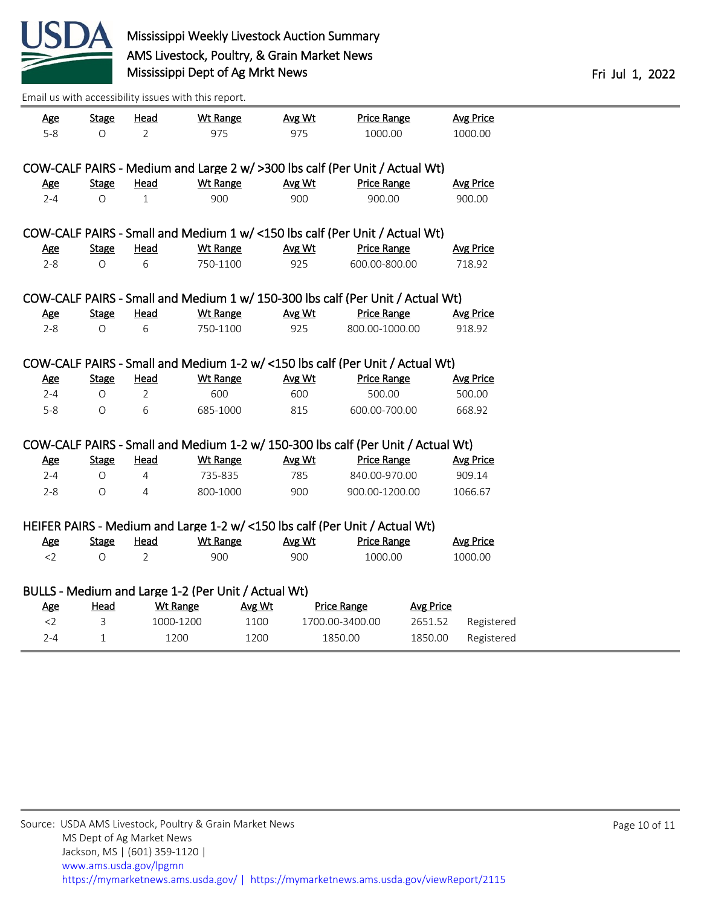

| <u>Age</u>                                                                   | <b>Stage</b> | <u>Head</u>                                         | <b>Wt Range</b> |        | Avg Wt | <b>Price Range</b>                                                               |                  | <b>Avg Price</b> |  |
|------------------------------------------------------------------------------|--------------|-----------------------------------------------------|-----------------|--------|--------|----------------------------------------------------------------------------------|------------------|------------------|--|
| $5-8$                                                                        | $\circ$      | $\overline{2}$                                      | 975             |        | 975    | 1000.00                                                                          |                  | 1000.00          |  |
|                                                                              |              |                                                     |                 |        |        |                                                                                  |                  |                  |  |
| COW-CALF PAIRS - Medium and Large 2 w/ > 300 lbs calf (Per Unit / Actual Wt) |              |                                                     |                 |        |        |                                                                                  |                  |                  |  |
| Age                                                                          | <b>Stage</b> | <b>Head</b>                                         | <b>Wt Range</b> |        | Avg Wt | <b>Price Range</b>                                                               |                  | <b>Avg Price</b> |  |
| $2 - 4$                                                                      | O            | $\mathbf{1}$                                        | 900             |        | 900    | 900.00                                                                           |                  | 900.00           |  |
|                                                                              |              |                                                     |                 |        |        |                                                                                  |                  |                  |  |
|                                                                              |              |                                                     |                 |        |        | COW-CALF PAIRS - Small and Medium 1 w/ <150 lbs calf (Per Unit / Actual Wt)      |                  |                  |  |
| <u>Age</u>                                                                   | <b>Stage</b> | <u>Head</u>                                         | <b>Wt Range</b> |        | Avg Wt | <b>Price Range</b>                                                               |                  | <b>Avg Price</b> |  |
| $2 - 8$                                                                      | $\Omega$     | 6                                                   | 750-1100        |        | 925    | 600.00-800.00                                                                    |                  | 718.92           |  |
|                                                                              |              |                                                     |                 |        |        |                                                                                  |                  |                  |  |
|                                                                              |              |                                                     |                 |        |        | COW-CALF PAIRS - Small and Medium 1 w/ 150-300 lbs calf (Per Unit / Actual Wt)   |                  |                  |  |
| Age                                                                          | <b>Stage</b> | Head                                                | <b>Wt Range</b> |        | Avg Wt | <b>Price Range</b>                                                               |                  | <b>Avg Price</b> |  |
| $2 - 8$                                                                      | $\circ$      | 6                                                   | 750-1100        |        | 925    | 800.00-1000.00                                                                   |                  | 918.92           |  |
|                                                                              |              |                                                     |                 |        |        |                                                                                  |                  |                  |  |
|                                                                              |              |                                                     |                 |        |        | COW-CALF PAIRS - Small and Medium 1-2 w/ <150 lbs calf (Per Unit / Actual Wt)    |                  |                  |  |
| <b>Age</b>                                                                   | <b>Stage</b> | <b>Head</b>                                         | <b>Wt Range</b> |        | Avg Wt | <b>Price Range</b>                                                               |                  | <b>Avg Price</b> |  |
| $2 - 4$                                                                      | $\Omega$     | $\overline{2}$                                      | 600             |        | 600    | 500.00                                                                           |                  | 500.00           |  |
| $5-8$                                                                        | $\circ$      | 6                                                   | 685-1000        |        | 815    | 600.00-700.00                                                                    |                  | 668.92           |  |
|                                                                              |              |                                                     |                 |        |        |                                                                                  |                  |                  |  |
|                                                                              |              |                                                     |                 |        |        | COW-CALF PAIRS - Small and Medium 1-2 w/ 150-300 lbs calf (Per Unit / Actual Wt) |                  |                  |  |
| <b>Age</b>                                                                   | <b>Stage</b> | Head                                                | <b>Wt Range</b> |        | Avg Wt | <b>Price Range</b>                                                               |                  | <b>Avg Price</b> |  |
| $2 - 4$                                                                      | O            | 4                                                   | 735-835         |        | 785    | 840.00-970.00                                                                    |                  | 909.14           |  |
|                                                                              |              | $\overline{4}$                                      |                 |        |        |                                                                                  |                  |                  |  |
| $2 - 8$                                                                      | $\circ$      |                                                     | 800-1000        |        | 900    | 900.00-1200.00                                                                   |                  | 1066.67          |  |
|                                                                              |              |                                                     |                 |        |        |                                                                                  |                  |                  |  |
|                                                                              |              |                                                     |                 |        |        | HEIFER PAIRS - Medium and Large 1-2 w/ <150 lbs calf (Per Unit / Actual Wt)      |                  |                  |  |
| <u>Age</u>                                                                   | <b>Stage</b> | <b>Head</b>                                         | <b>Wt Range</b> |        | Avg Wt | <b>Price Range</b>                                                               |                  | <b>Avg Price</b> |  |
| $<$ 2                                                                        | $\circ$      | $\overline{2}$                                      | 900             |        | 900    | 1000.00                                                                          |                  | 1000.00          |  |
|                                                                              |              |                                                     |                 |        |        |                                                                                  |                  |                  |  |
|                                                                              |              | BULLS - Medium and Large 1-2 (Per Unit / Actual Wt) |                 |        |        |                                                                                  |                  |                  |  |
| <b>Age</b>                                                                   | <b>Head</b>  | <b>Wt Range</b>                                     |                 | Avg Wt |        | <b>Price Range</b>                                                               | <b>Avg Price</b> |                  |  |
| $<$ 2                                                                        | 3            | 1000-1200                                           |                 | 1100   |        | 1700.00-3400.00                                                                  | 2651.52          | Registered       |  |
| $2 - 4$                                                                      | $\mathbf{1}$ | 1200                                                |                 | 1200   |        | 1850.00                                                                          | 1850.00          | Registered       |  |
|                                                                              |              |                                                     |                 |        |        |                                                                                  |                  |                  |  |